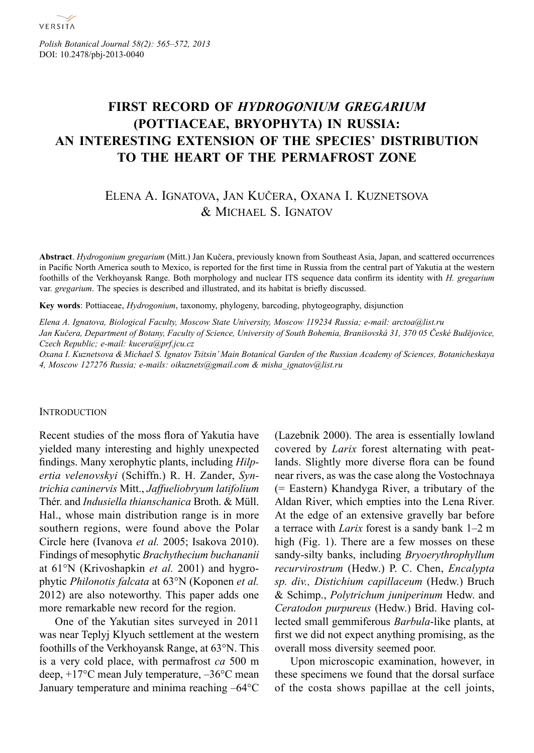

*Polish Botanical Journal 58(2): 565–572, 2013* DOI: 10.2478/pbj-2013-0040

# **First record of** *Hydrogonium gregarium* **(Pottiaceae, Bryophyta) in Russia: an interesting extension of the species**' **distribution to the heart of the permafrost zone**

# Elena A. Ignatova, Jan Kučera, Oxana I. Kuznetsova & Michael S. Ignatov

**Abstract**. *Hydrogonium gregarium* (Mitt.) Jan Kučera, previously known from Southeast Asia, Japan, and scattered occurrences in Pacific North America south to Mexico, is reported for the first time in Russia from the central part of Yakutia at the western foothills of the Verkhoyansk Range. Both morphology and nuclear ITS sequence data confirm its identity with *H. gregarium* var. *gregarium*. The species is described and illustrated, and its habitat is briefly discussed.

**Key words**: Pottiaceae, *Hydrogonium*, taxonomy, phylogeny, barcoding, phytogeography, disjunction

*Elena A. Ignatova, Biological Faculty, Moscow State University, Moscow 119234 Russia; e-mail: arctoa@list.ru Jan Kučera, Department of Botany, Faculty of Science, University of South Bohemia, Branišovská 31, 370 05 České Budějovice, Czech Republic; e-mail: kucera@prf.jcu.cz*

*Oxana I. Kuznetsova & Michael S. Ignatov Tsitsin' Main Botanical Garden of the Russian Academy of Sciences, Botanicheskaya 4, Moscow 127276 Russia; e-mails: oikuznets@gmail.com & misha\_ignatov@list.ru*

#### **INTRODUCTION**

Recent studies of the moss flora of Yakutia have yielded many interesting and highly unexpected findings. Many xerophytic plants, including *Hilpertia velenovskyi* (Schiffn.) R. H. Zander, *Syntrichia caninervis* Mitt., *Jaffueliobryum latifolium* Thér. and *Indusiella thianschanica* Broth. & Müll. Hal., whose main distribution range is in more southern regions, were found above the Polar Circle here (Ivanova *et al.* 2005; Isakova 2010). Findings of mesophytic *Brachythecium buchananii* at 61°N (Krivoshapkin *et al.* 2001) and hygrophytic *Philonotis falcata* at 63°N (Koponen *et al.* 2012) are also noteworthy. This paper adds one more remarkable new record for the region.

One of the Yakutian sites surveyed in 2011 was near Teplyj Klyuch settlement at the western foothills of the Verkhoyansk Range, at 63°N. This is a very cold place, with permafrost *ca* 500 m deep, +17°C mean July temperature, –36°C mean January temperature and minima reaching –64°C

(Lazebnik 2000). The area is essentially lowland covered by *Larix* forest alternating with peatlands. Slightly more diverse flora can be found near rivers, as was the case along the Vostochnaya (= Eastern) Khandyga River, a tributary of the Aldan River, which empties into the Lena River. At the edge of an extensive gravelly bar before a terrace with *Larix* forest is a sandy bank 1–2 m high (Fig. 1). There are a few mosses on these sandy-silty banks, including *Bryoerythrophyllum recurvirostrum* (Hedw.) P. C. Chen, *Encalypta sp. div., Distichium capillaceum* (Hedw.) Bruch & Schimp., *Polytrichum juniperinum* Hedw. and *Ceratodon purpureus* (Hedw.) Brid. Having collected small gemmiferous *Barbula*-like plants, at first we did not expect anything promising, as the overall moss diversity seemed poor.

Upon microscopic examination, however, in these specimens we found that the dorsal surface of the costa shows papillae at the cell joints,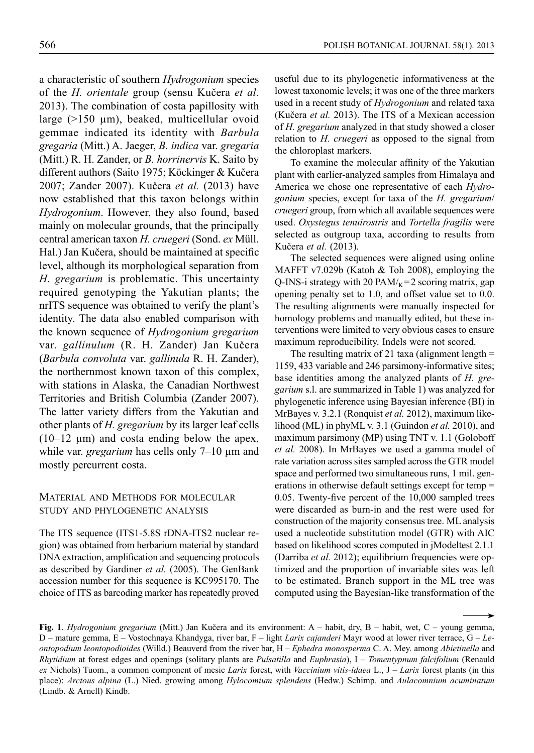a characteristic of southern *Hydrogonium* species of the *H. orientale* group (sensu Kučera *et al*. 2013). The combination of costa papillosity with large  $(>150 \mu m)$ , beaked, multicellular ovoid gemmae indicated its identity with *Barbula gregaria* (Mitt.) A. Jaeger, *B. indica* var. *gregaria* (Mitt.) R. H. Zander, or *B. horrinervis* K. Saito by different authors (Saito 1975; Köckinger & Kučera 2007; Zander 2007). Kučera *et al.* (2013) have now established that this taxon belongs within *Hydrogonium*. However, they also found, based mainly on molecular grounds, that the principally central american taxon *H. cruegeri* (Sond. *ex* Müll. Hal.) Jan Kučera, should be maintained at specific level, although its morphological separation from *H*. *gregarium* is problematic. This uncertainty required genotyping the Yakutian plants; the nrITS sequence was obtained to verify the plant's identity. The data also enabled comparison with the known sequence of *Hydrogonium gregarium* var. *gallinulum* (R. H. Zander) Jan Kučera (*Barbula convoluta* var. *gallinula* R. H. Zander), the northernmost known taxon of this complex, with stations in Alaska, the Canadian Northwest Territories and British Columbia (Zander 2007). The latter variety differs from the Yakutian and other plants of *H. gregarium* by its larger leaf cells  $(10-12 \mu m)$  and costa ending below the apex, while var. *gregarium* has cells only 7–10 µm and mostly percurrent costa.

# Material and Methods for molecular study and phylogenetic analysis

The ITS sequence (ITS1-5.8S rDNA-ITS2 nuclear region) was obtained from herbarium material by standard DNA extraction, amplification and sequencing protocols as described by Gardiner *et al.* (2005). The GenBank accession number for this sequence is KC995170. The choice of ITS as barcoding marker has repeatedly proved useful due to its phylogenetic informativeness at the lowest taxonomic levels; it was one of the three markers used in a recent study of *Hydrogonium* and related taxa (Kučera *et al.* 2013). The ITS of a Mexican accession of *H. gregarium* analyzed in that study showed a closer relation to *H. cruegeri* as opposed to the signal from the chloroplast markers.

To examine the molecular affinity of the Yakutian plant with earlier-analyzed samples from Himalaya and America we chose one representative of each *Hydrogonium* species, except for taxa of the *H. gregarium*/ *cruegeri* group, from which all available sequences were used. *Oxystegus tenuirostris* and *Tortella fragilis* were selected as outgroup taxa, according to results from Kučera *et al.* (2013).

The selected sequences were aligned using online MAFFT v7.029b (Katoh & Toh 2008), employing the Q-INS-i strategy with 20  $PAM/\kappa = 2$  scoring matrix, gap opening penalty set to 1.0, and offset value set to 0.0. The resulting alignments were manually inspected for homology problems and manually edited, but these interventions were limited to very obvious cases to ensure maximum reproducibility. Indels were not scored.

The resulting matrix of 21 taxa (alignment length  $=$ 1159, 433 variable and 246 parsimony-informative sites; base identities among the analyzed plants of *H. gregarium* s.l. are summarized in Table 1) was analyzed for phylogenetic inference using Bayesian inference (BI) in MrBayes v. 3.2.1 (Ronquist *et al.* 2012), maximum likelihood (ML) in phyML v. 3.1 (Guindon *et al.* 2010), and maximum parsimony (MP) using TNT v. 1.1 (Goloboff *et al.* 2008). In MrBayes we used a gamma model of rate variation across sites sampled across the GTR model space and performed two simultaneous runs, 1 mil. generations in otherwise default settings except for temp = 0.05. Twenty-five percent of the 10,000 sampled trees were discarded as burn-in and the rest were used for construction of the majority consensus tree. ML analysis used a nucleotide substitution model (GTR) with AIC based on likelihood scores computed in jModeltest 2.1.1 (Darriba *et al.* 2012); equilibrium frequencies were optimized and the proportion of invariable sites was left to be estimated. Branch support in the ML tree was computed using the Bayesian-like transformation of the

**Fig. 1**. *Hydrogonium gregarium* (Mitt.) Jan Kučera and its environment: A – habit, dry, B – habit, wet, C – young gemma, D – mature gemma, E – Vostochnaya Khandyga, river bar, F – light *Larix cajanderi* Mayr wood at lower river terrace, G – *Leontopodium leontopodioides* (Willd.) Beauverd from the river bar, H – *Ephedra monosperma* C. A. Mey. among *Abietinella* and *Rhytidium* at forest edges and openings (solitary plants are *Pulsatilla* and *Euphrasia*), I – *Tomentypnum falcifolium* (Renauld *ex* Nichols) Tuom., a common component of mesic *Larix* forest, with *Vaccinium vitis-idaea* L., J – *Larix* forest plants (in this place): *Arctous alpina* (L.) Nied. growing among *Hylocomium splendens* (Hedw.) Schimp. and *Aulacomnium acuminatum* (Lindb. & Arnell) Kindb.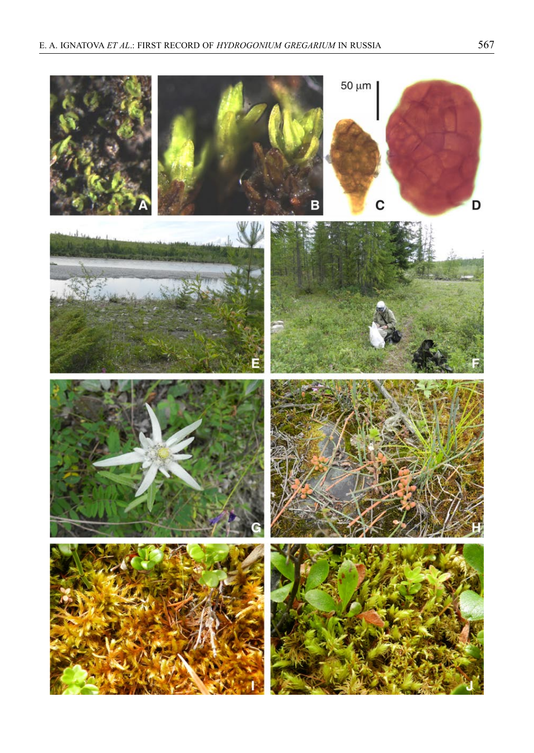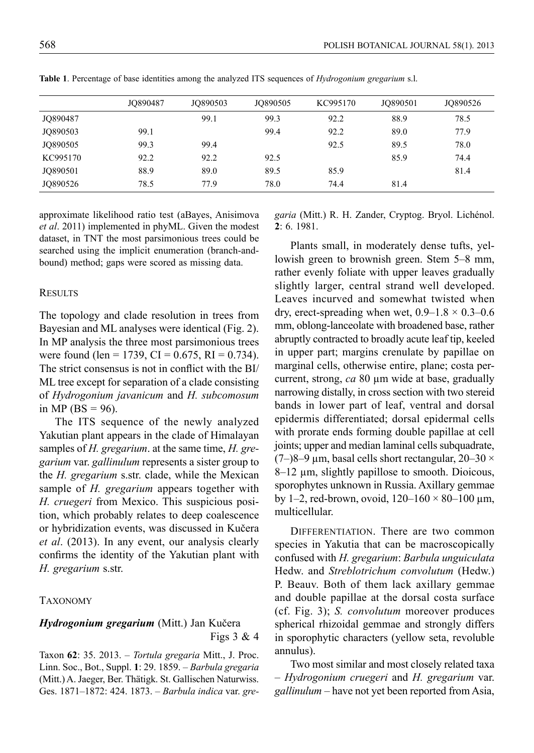| the contract of the contract of the contract of the contract of the contract of the contract of the contract of |  |  |  |
|-----------------------------------------------------------------------------------------------------------------|--|--|--|
|                                                                                                                 |  |  |  |
|                                                                                                                 |  |  |  |
|                                                                                                                 |  |  |  |
|                                                                                                                 |  |  |  |

|          | JO890487 | JO890503 | JO890505 | KC995170 | JO890501 | JO890526 |
|----------|----------|----------|----------|----------|----------|----------|
| JQ890487 |          | 99.1     | 99.3     | 92.2     | 88.9     | 78.5     |
| JQ890503 | 99.1     |          | 99.4     | 92.2     | 89.0     | 77.9     |
| JO890505 | 99.3     | 99.4     |          | 92.5     | 89.5     | 78.0     |
| KC995170 | 92.2     | 92.2     | 92.5     |          | 85.9     | 74.4     |
| JQ890501 | 88.9     | 89.0     | 89.5     | 85.9     |          | 81.4     |
| JQ890526 | 78.5     | 77.9     | 78.0     | 74.4     | 81.4     |          |

**Table 1**. Percentage of base identities among the analyzed ITS sequences of *Hydrogonium gregarium* s.l.

approximate likelihood ratio test (aBayes, Anisimova *et al*. 2011) implemented in phyML. Given the modest dataset, in TNT the most parsimonious trees could be searched using the implicit enumeration (branch-andbound) method; gaps were scored as missing data.

#### **RESULTS**

The topology and clade resolution in trees from Bayesian and ML analyses were identical (Fig. 2). In MP analysis the three most parsimonious trees were found (len = 1739, CI =  $0.675$ , RI =  $0.734$ ). The strict consensus is not in conflict with the BI/ ML tree except for separation of a clade consisting of *Hydrogonium javanicum* and *H. subcomosum* in MP ( $BS = 96$ ).

The ITS sequence of the newly analyzed Yakutian plant appears in the clade of Himalayan samples of *H. gregarium*. at the same time, *H. gregarium* var. *gallinulum* represents a sister group to the *H. gregarium* s.str. clade, while the Mexican sample of *H. gregarium* appears together with *H. cruegeri* from Mexico. This suspicious position, which probably relates to deep coalescence or hybridization events, was discussed in Kučera *et al*. (2013). In any event, our analysis clearly confirms the identity of the Yakutian plant with *H. gregarium* s.str.

## **TAXONOMY**

# *Hydrogonium gregarium* (Mitt.) Jan Kučera Figs 3 & 4

Taxon **62**: 35. 2013. – *Tortula gregaria* Mitt., J. Proc. Linn. Soc., Bot., Suppl. **1**: 29. 1859. – *Barbula gregaria* (Mitt.) A. Jaeger, Ber. Thätigk. St. Gallischen Naturwiss. Ges. 1871–1872: 424. 1873. – *Barbula indica* var. *gre-* *garia* (Mitt.) R. H. Zander, Cryptog. Bryol. Lichénol. **2**: 6. 1981.

Plants small, in moderately dense tufts, yellowish green to brownish green. Stem 5–8 mm, rather evenly foliate with upper leaves gradually slightly larger, central strand well developed. Leaves incurved and somewhat twisted when dry, erect-spreading when wet,  $0.9-1.8 \times 0.3-0.6$ mm, oblong-lanceolate with broadened base, rather abruptly contracted to broadly acute leaf tip, keeled in upper part; margins crenulate by papillae on marginal cells, otherwise entire, plane; costa percurrent, strong, *ca* 80 µm wide at base, gradually narrowing distally, in cross section with two stereid bands in lower part of leaf, ventral and dorsal epidermis differentiated; dorsal epidermal cells with prorate ends forming double papillae at cell joints; upper and median laminal cells subquadrate, (7–)8–9  $\mu$ m, basal cells short rectangular, 20–30  $\times$ 8–12 µm, slightly papillose to smooth. Dioicous, sporophytes unknown in Russia. Axillary gemmae by 1–2, red-brown, ovoid,  $120-160 \times 80-100 \text{ µm}$ , multicellular.

DIFFERENTIATION. There are two common species in Yakutia that can be macroscopically confused with *H. gregarium*: *Barbula unguiculata* Hedw. and *Streblotrichum convolutum* (Hedw.) P. Beauv. Both of them lack axillary gemmae and double papillae at the dorsal costa surface (cf. Fig. 3); *S. convolutum* moreover produces spherical rhizoidal gemmae and strongly differs in sporophytic characters (yellow seta, revoluble annulus).

Two most similar and most closely related taxa – *Hydrogonium cruegeri* and *H. gregarium* var. *gallinulum* – have not yet been reported from Asia,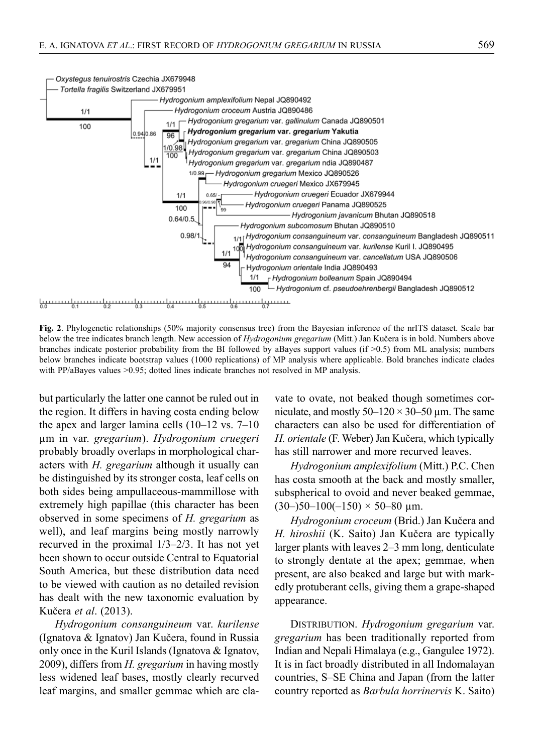

ֈֈֈՠՠՠֈֈֈՠՠՠֈֈֈՠՠՠֈֈֈՠՠՠֈֈֈՠՠՠֈֈֈՠՠՠֈֈֈՠՠՠֈֈֈՠՠ

**Fig. 2**. Phylogenetic relationships (50% majority consensus tree) from the Bayesian inference of the nrITS dataset. Scale bar below the tree indicates branch length. New accession of *Hydrogonium gregarium* (Mitt.) Jan Kučera is in bold. Numbers above branches indicate posterior probability from the BI followed by aBayes support values (if >0.5) from ML analysis; numbers below branches indicate bootstrap values (1000 replications) of MP analysis where applicable. Bold branches indicate clades with PP/aBayes values >0.95; dotted lines indicate branches not resolved in MP analysis.

but particularly the latter one cannot be ruled out in the region. It differs in having costa ending below the apex and larger lamina cells (10–12 vs. 7–10 µm in var. *gregarium*). *Hydrogonium cruegeri* probably broadly overlaps in morphological characters with *H. gregarium* although it usually can be distinguished by its stronger costa, leaf cells on both sides being ampullaceous-mammillose with extremely high papillae (this character has been observed in some specimens of *H. gregarium* as well), and leaf margins being mostly narrowly recurved in the proximal 1/3–2/3. It has not yet been shown to occur outside Central to Equatorial South America, but these distribution data need to be viewed with caution as no detailed revision has dealt with the new taxonomic evaluation by Kučera *et al*. (2013).

*Hydrogonium consanguineum* var. *kurilense* (Ignatova & Ignatov) Jan Kučera, found in Russia only once in the Kuril Islands (Ignatova & Ignatov, 2009), differs from *H. gregarium* in having mostly less widened leaf bases, mostly clearly recurved leaf margins, and smaller gemmae which are clavate to ovate, not beaked though sometimes corniculate, and mostly  $50-120 \times 30-50$  µm. The same characters can also be used for differentiation of *H. orientale* (F. Weber) Jan Kučera, which typically has still narrower and more recurved leaves.

*Hydrogonium amplexifolium* (Mitt.) P.C. Chen has costa smooth at the back and mostly smaller, subspherical to ovoid and never beaked gemmae,  $(30-)50-100(-150) \times 50-80 \text{ }\mu\text{m}$ .

*Hydrogonium croceum* (Brid.) Jan Kučera and *H. hiroshii* (K. Saito) Jan Kučera are typically larger plants with leaves 2–3 mm long, denticulate to strongly dentate at the apex; gemmae, when present, are also beaked and large but with markedly protuberant cells, giving them a grape-shaped appearance.

Distribution. *Hydrogonium gregarium* var. *gregarium* has been traditionally reported from Indian and Nepali Himalaya (e.g., Gangulee 1972). It is in fact broadly distributed in all Indomalayan countries, S–SE China and Japan (from the latter country reported as *Barbula horrinervis* K. Saito)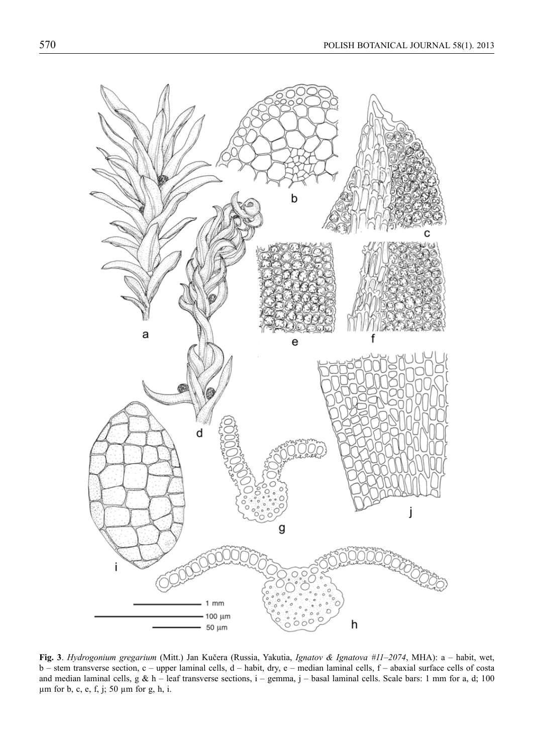

**Fig. 3**. *Hydrogonium gregarium* (Mitt.) Jan Kučera (Russia, Yakutia, *Ignatov & Ignatova #11–2074*, MHA): a – habit, wet, b – stem transverse section, c – upper laminal cells, d – habit, dry, e – median laminal cells, f – abaxial surface cells of costa and median laminal cells, g & h – leaf transverse sections,  $i$  – gemma,  $j$  – basal laminal cells. Scale bars: 1 mm for a, d; 100 µm for b, c, e, f, j; 50 µm for g, h, i.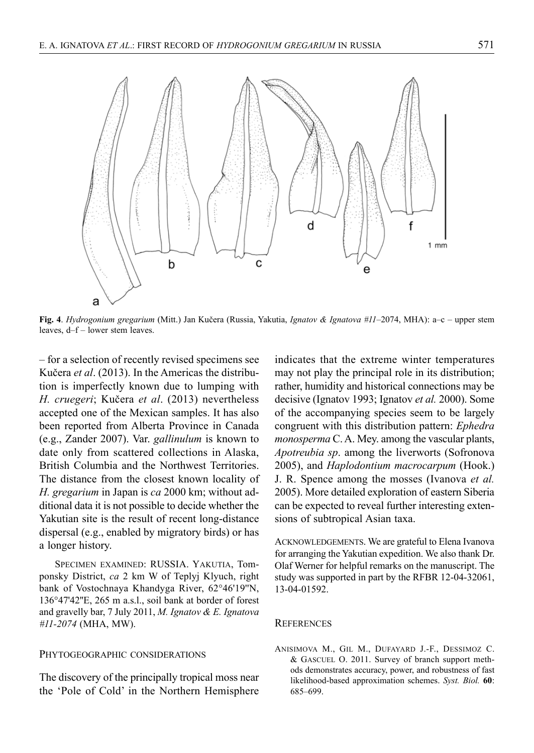

**Fig. 4**. *Hydrogonium gregarium* (Mitt.) Jan Kučera (Russia, Yakutia, *Ignatov & Ignatova #11*–2074, MHA): a–c – upper stem leaves, d–f – lower stem leaves.

– for a selection of recently revised specimens see Kučera *et al*. (2013). In the Americas the distribution is imperfectly known due to lumping with *H. cruegeri*; Kučera *et al*. (2013) nevertheless accepted one of the Mexican samples. It has also been reported from Alberta Province in Canada (e.g., Zander 2007). Var. *gallinulum* is known to date only from scattered collections in Alaska, British Columbia and the Northwest Territories. The distance from the closest known locality of *H. gregarium* in Japan is *ca* 2000 km; without additional data it is not possible to decide whether the Yakutian site is the result of recent long-distance dispersal (e.g., enabled by migratory birds) or has a longer history.

Specimen examined: RUSSIA. Yakutia, Tomponsky District, *ca* 2 km W of Teplyj Klyuch, right bank of Vostochnaya Khandyga River, 62°46'19''N, 136°47'42''E, 265 m a.s.l., soil bank at border of forest and gravelly bar, 7 July 2011, *M. Ignatov & E. Ignatova #11-2074* (MHA, MW).

#### PHYTOGEOGRAPHIC CONSIDERATIONS

The discovery of the principally tropical moss near the 'Pole of Cold' in the Northern Hemisphere indicates that the extreme winter temperatures may not play the principal role in its distribution; rather, humidity and historical connections may be decisive (Ignatov 1993; Ignatov *et al.* 2000). Some of the accompanying species seem to be largely congruent with this distribution pattern: *Ephedra monosperma* C. A. Mey. among the vascular plants, *Apotreubia sp*. among the liverworts (Sofronova 2005), and *Haplodontium macrocarpum* (Hook.) J. R. Spence among the mosses (Ivanova *et al.* 2005). More detailed exploration of eastern Siberia can be expected to reveal further interesting extensions of subtropical Asian taxa.

ACKNOWLEDGEMENTS. We are grateful to Elena Ivanova for arranging the Yakutian expedition. We also thank Dr. Olaf Werner for helpful remarks on the manuscript. The study was supported in part by the RFBR 12-04-32061, 13-04-01592.

#### **REFERENCES**

Anisimova M., Gil M., Dufayard J.-F., Dessimoz C. & Gascuel O. 2011. Survey of branch support methods demonstrates accuracy, power, and robustness of fast likelihood-based approximation schemes. *Syst. Biol.* **60**: 685–699.